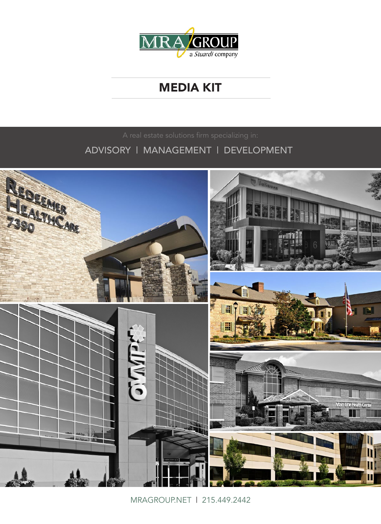

# **MEDIA KIT**

ADVISORY | MANAGEMENT | DEVELOPMENT



MRAGROUP.NET | 215.449.2442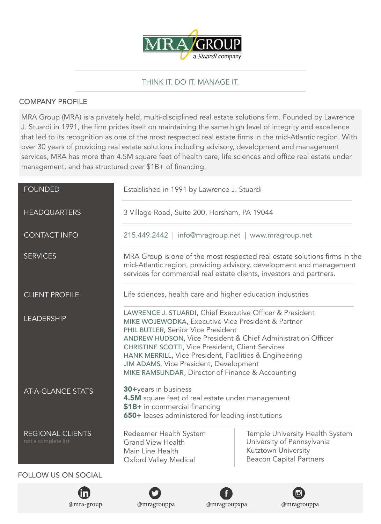

## THINK IT. DO IT. MANAGE IT.

### COMPANY PROFILE

MRA Group (MRA) is a privately held, multi-disciplined real estate solutions firm. Founded by Lawrence J. Stuardi in 1991, the firm prides itself on maintaining the same high level of integrity and excellence that led to its recognition as one of the most respected real estate firms in the mid-Atlantic region. With over 30 years of providing real estate solutions including advisory, development and management services, MRA has more than 4.5M square feet of health care, life sciences and office real estate under management, and has structured over \$1B+ of financing.

| <b>FOUNDED</b>                                 | Established in 1991 by Lawrence J. Stuardi                                                                                                                                                                                                                                                                                                                                                                                               |                                                                                                                        |
|------------------------------------------------|------------------------------------------------------------------------------------------------------------------------------------------------------------------------------------------------------------------------------------------------------------------------------------------------------------------------------------------------------------------------------------------------------------------------------------------|------------------------------------------------------------------------------------------------------------------------|
| <b>HEADQUARTERS</b>                            | 3 Village Road, Suite 200, Horsham, PA 19044                                                                                                                                                                                                                                                                                                                                                                                             |                                                                                                                        |
| <b>CONTACT INFO</b>                            | 215.449.2442   info@mragroup.net   www.mragroup.net                                                                                                                                                                                                                                                                                                                                                                                      |                                                                                                                        |
| <b>SERVICES</b>                                | MRA Group is one of the most respected real estate solutions firms in the<br>mid-Atlantic region, providing advisory, development and management<br>services for commercial real estate clients, investors and partners.                                                                                                                                                                                                                 |                                                                                                                        |
| <b>CLIENT PROFILE</b>                          | Life sciences, health care and higher education industries                                                                                                                                                                                                                                                                                                                                                                               |                                                                                                                        |
| <b>LEADERSHIP</b>                              | LAWRENCE J. STUARDI, Chief Executive Officer & President<br>MIKE WOJEWODKA, Executive Vice President & Partner<br>PHIL BUTLER, Senior Vice President<br>ANDREW HUDSON, Vice President & Chief Administration Officer<br><b>CHRISTINE SCOTTI, Vice President, Client Services</b><br>HANK MERRILL, Vice President, Facilities & Engineering<br>JIM ADAMS, Vice President, Development<br>MIKE RAMSUNDAR, Director of Finance & Accounting |                                                                                                                        |
| <b>AT-A-GLANCE STATS</b>                       | 30+years in business<br>4.5M square feet of real estate under management<br>\$1B+ in commercial financing<br>650+ leases administered for leading institutions                                                                                                                                                                                                                                                                           |                                                                                                                        |
| <b>REGIONAL CLIENTS</b><br>not a complete list | Redeemer Health System<br><b>Grand View Health</b><br>Main Line Health<br>Oxford Valley Medical                                                                                                                                                                                                                                                                                                                                          | Temple University Health System<br>University of Pennsylvania<br>Kutztown University<br><b>Beacon Capital Partners</b> |
| <b>FOLLOW US ON SOCIAL</b>                     |                                                                                                                                                                                                                                                                                                                                                                                                                                          |                                                                                                                        |
|                                                |                                                                                                                                                                                                                                                                                                                                                                                                                                          |                                                                                                                        |